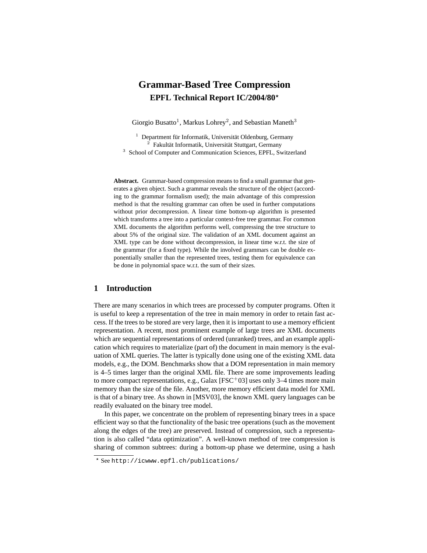# **Grammar-Based Tree Compression EPFL Technical Report IC/2004/80**?

Giorgio Busatto<sup>1</sup>, Markus Lohrey<sup>2</sup>, and Sebastian Maneth<sup>3</sup>

 $1$  Department für Informatik, Universität Oldenburg, Germany  $2$  Fakultät Informatik, Universität Stuttgart, Germany <sup>3</sup> School of Computer and Communication Sciences, EPFL, Switzerland

**Abstract.** Grammar-based compression means to find a small grammar that generates a given object. Such a grammar reveals the structure of the object (according to the grammar formalism used); the main advantage of this compression method is that the resulting grammar can often be used in further computations without prior decompression. A linear time bottom-up algorithm is presented which transforms a tree into a particular context-free tree grammar. For common XML documents the algorithm performs well, compressing the tree structure to about 5% of the original size. The validation of an XML document against an XML type can be done without decompression, in linear time w.r.t. the size of the grammar (for a fixed type). While the involved grammars can be double exponentially smaller than the represented trees, testing them for equivalence can be done in polynomial space w.r.t. the sum of their sizes.

# **1 Introduction**

There are many scenarios in which trees are processed by computer programs. Often it is useful to keep a representation of the tree in main memory in order to retain fast access. If the trees to be stored are very large, then it is important to use a memory efficient representation. A recent, most prominent example of large trees are XML documents which are sequential representations of ordered (unranked) trees, and an example application which requires to materialize (part of) the document in main memory is the evaluation of XML queries. The latter is typically done using one of the existing XML data models, e.g., the DOM. Benchmarks show that a DOM representation in main memory is 4–5 times larger than the original XML file. There are some improvements leading to more compact representations, e.g., Galax  $[{\rm FSC^+03}]$  uses only 3–4 times more main memory than the size of the file. Another, more memory efficient data model for XML is that of a binary tree. As shown in [MSV03], the known XML query languages can be readily evaluated on the binary tree model.

In this paper, we concentrate on the problem of representing binary trees in a space efficient way so that the functionality of the basic tree operations (such as the movement along the edges of the tree) are preserved. Instead of compression, such a representation is also called "data optimization". A well-known method of tree compression is sharing of common subtrees: during a bottom-up phase we determine, using a hash

<sup>?</sup> See http://icwww.epfl.ch/publications/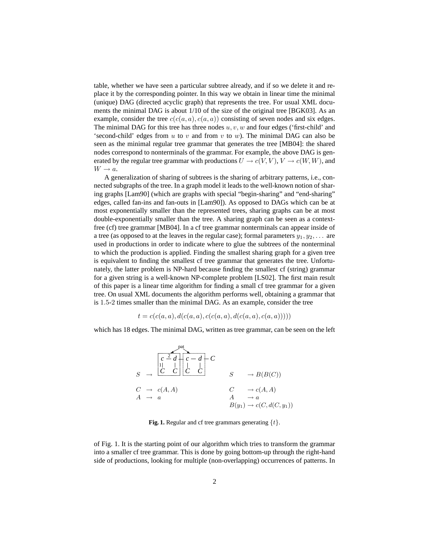table, whether we have seen a particular subtree already, and if so we delete it and replace it by the corresponding pointer. In this way we obtain in linear time the minimal (unique) DAG (directed acyclic graph) that represents the tree. For usual XML documents the minimal DAG is about 1/10 of the size of the original tree [BGK03]. As an example, consider the tree  $c(c(a, a), c(a, a))$  consisting of seven nodes and six edges. The minimal DAG for this tree has three nodes  $u, v, w$  and four edges ('first-child' and 'second-child' edges from u to v and from v to w). The minimal DAG can also be seen as the minimal regular tree grammar that generates the tree [MB04]: the shared nodes correspond to nonterminals of the grammar. For example, the above DAG is generated by the regular tree grammar with productions  $U \to c(V, V)$ ,  $V \to c(W, W)$ , and  $W \rightarrow a$ .

A generalization of sharing of subtrees is the sharing of arbitrary patterns, i.e., connected subgraphs of the tree. In a graph model it leads to the well-known notion of sharing graphs [Lam90] (which are graphs with special "begin-sharing" and "end-sharing" edges, called fan-ins and fan-outs in [Lam90]). As opposed to DAGs which can be at most exponentially smaller than the represented trees, sharing graphs can be at most double-exponentially smaller than the tree. A sharing graph can be seen as a contextfree (cf) tree grammar [MB04]. In a cf tree grammar nonterminals can appear inside of a tree (as opposed to at the leaves in the regular case); formal parameters  $y_1, y_2, \ldots$  are used in productions in order to indicate where to glue the subtrees of the nonterminal to which the production is applied. Finding the smallest sharing graph for a given tree is equivalent to finding the smallest cf tree grammar that generates the tree. Unfortunately, the latter problem is NP-hard because finding the smallest cf (string) grammar for a given string is a well-known NP-complete problem [LS02]. The first main result of this paper is a linear time algorithm for finding a small cf tree grammar for a given tree. On usual XML documents the algorithm performs well, obtaining a grammar that is 1.5-2 times smaller than the minimal DAG. As an example, consider the tree

$$
t = c(c(a, a), d(c(a, a), c(c(a, a), d(c(a, a), c(a, a))))
$$

which has 18 edges. The minimal DAG, written as tree grammar, can be seen on the left

$$
S \rightarrow \begin{array}{ccc} \begin{array}{|c|c|c|c|c|} \hline c & \stackrel{\text{pat}}{c} & \stackrel{\text{pat}}{c} & \stackrel{\text{bat}}{c} & \stackrel{\text{bat}}{c} & \stackrel{\text{bat}}{c} \\ \hline C & C & C & C \\ \hline C & \stackrel{\text{ad}}{c} & C & & S \\ \hline C & \stackrel{\text{ad}}{c} & C & & \stackrel{\text{ad}}{c} & \stackrel{\text{ad}}{c} \\ \hline C & \stackrel{\text{ad}}{c} & C & & \stackrel{\text{ad}}{c} & \stackrel{\text{ad}}{c} \\ \hline C & \stackrel{\text{ad}}{c} & C & & \stackrel{\text{ad}}{c} & \stackrel{\text{ad}}{c} \\ \hline \end{array} & S \rightarrow B(B(C))
$$

**Fig. 1.** Regular and cf tree grammars generating  $\{t\}$ .

of Fig. 1. It is the starting point of our algorithm which tries to transform the grammar into a smaller cf tree grammar. This is done by going bottom-up through the right-hand side of productions, looking for multiple (non-overlapping) occurrences of patterns. In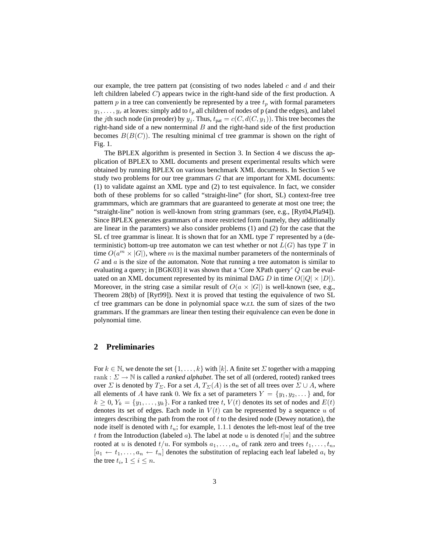our example, the tree pattern pat (consisting of two nodes labeled  $c$  and  $d$  and their left children labeled C) appears twice in the right-hand side of the first production. A pattern  $p$  in a tree can conveniently be represented by a tree  $t_p$  with formal parameters  $y_1, \ldots, y_r$  at leaves: simply add to  $t_p$  all children of nodes of p (and the edges), and label the jth such node (in preoder) by  $y_j$ . Thus,  $t_{pat} = c(C, d(C, y_1))$ . This tree becomes the right-hand side of a new nonterminal  $B$  and the right-hand side of the first production becomes  $B(B(C))$ . The resulting minimal cf tree grammar is shown on the right of Fig. 1.

The BPLEX algorithm is presented in Section 3. In Section 4 we discuss the application of BPLEX to XML documents and present experimental results which were obtained by running BPLEX on various benchmark XML documents. In Section 5 we study two problems for our tree grammars  $G$  that are important for XML documents: (1) to validate against an XML type and (2) to test equivalence. In fact, we consider both of these problems for so called "straight-line" (for short, SL) context-free tree grammmars, which are grammars that are guaranteed to generate at most one tree; the "straight-line" notion is well-known from string grammars (see, e.g., [Ryt04,Pla94]). Since BPLEX generates grammars of a more restricted form (namely, they additionally are linear in the paramters) we also consider problems (1) and (2) for the case that the SL cf tree grammar is linear. It is shown that for an XML type  $T$  represented by a (deterministic) bottom-up tree automaton we can test whether or not  $L(G)$  has type T in time  $O(a^m \times |G|)$ , where m is the maximal number parameters of the nonterminals of  $G$  and  $a$  is the size of the automaton. Note that running a tree automaton is similar to evaluating a query; in [BGK03] it was shown that a 'Core XPath query' Q can be evaluated on an XML document represented by its minimal DAG D in time  $O(|Q| \times |D|)$ . Moreover, in the string case a similar result of  $O(a \times |G|)$  is well-known (see, e.g., Theorem 28(b) of [Ryt99]). Next it is proved that testing the equivalence of two SL cf tree grammars can be done in polynomial space w.r.t. the sum of sizes of the two grammars. If the grammars are linear then testing their equivalence can even be done in polynomial time.

### **2 Preliminaries**

For  $k \in \mathbb{N}$ , we denote the set  $\{1, \ldots, k\}$  with  $[k]$ . A finite set  $\Sigma$  together with a mapping rank :  $\Sigma \rightarrow \mathbb{N}$  is called a *ranked alphabet*. The set of all (ordered, rooted) ranked trees over  $\Sigma$  is denoted by  $T_{\Sigma}$ . For a set A,  $T_{\Sigma}(A)$  is the set of all trees over  $\Sigma \cup A$ , where all elements of A have rank 0. We fix a set of parameters  $Y = \{y_1, y_2, \dots\}$  and, for  $k \geq 0$ ,  $Y_k = \{y_1, \ldots, y_k\}$ . For a ranked tree t,  $V(t)$  denotes its set of nodes and  $E(t)$ denotes its set of edges. Each node in  $V(t)$  can be represented by a sequence u of integers describing the path from the root of  $t$  to the desired node (Dewey notation), the node itself is denoted with  $t_u$ ; for example, 1.1.1 denotes the left-most leaf of the tree t from the Introduction (labeled a). The label at node u is denoted  $t[u]$  and the subtree rooted at u is denoted  $t/u$ . For symbols  $a_1, \ldots, a_n$  of rank zero and trees  $t_1, \ldots, t_n$ ,  $[a_1 \leftarrow t_1, \ldots, a_n \leftarrow t_n]$  denotes the substitution of replacing each leaf labeled  $a_i$  by the tree  $t_i, 1 \leq i \leq n$ .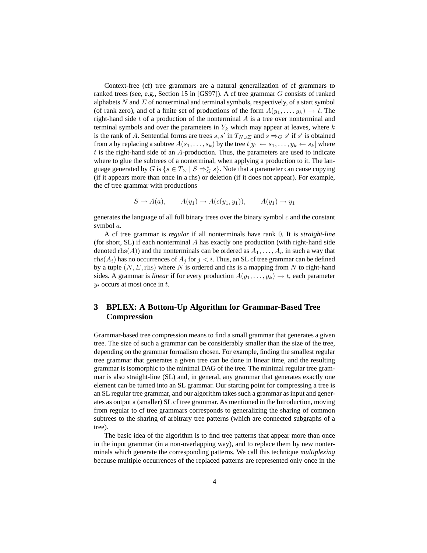Context-free (cf) tree grammars are a natural generalization of cf grammars to ranked trees (see, e.g., Section 15 in [GS97]). A cf tree grammar G consists of ranked alphabets  $N$  and  $\Sigma$  of nonterminal and terminal symbols, respectively, of a start symbol (of rank zero), and of a finite set of productions of the form  $A(y_1, \ldots, y_k) \to t$ . The right-hand side  $t$  of a production of the nonterminal  $A$  is a tree over nonterminal and terminal symbols and over the parameters in  $Y_k$  which may appear at leaves, where k is the rank of A. Sentential forms are trees s, s' in  $T_{N\cup\Sigma}$  and  $s \Rightarrow_G s'$  if s' is obtained from s by replacing a subtree  $A(s_1, \ldots, s_k)$  by the tree  $t[y_1 \leftarrow s_1, \ldots, y_k \leftarrow s_k]$  where  $t$  is the right-hand side of an  $A$ -production. Thus, the parameters are used to indicate where to glue the subtrees of a nonterminal, when applying a production to it. The language generated by G is  $\{s \in T_{\Sigma} \mid S \Rightarrow^*_{G} s\}$ . Note that a parameter can cause copying (if it appears more than once in a rhs) or deletion (if it does not appear). For example, the cf tree grammar with productions

$$
S \to A(a), \qquad A(y_1) \to A(c(y_1, y_1)), \qquad A(y_1) \to y_1
$$

generates the language of all full binary trees over the binary symbol  $c$  and the constant symbol a.

A cf tree grammar is *regular* if all nonterminals have rank 0. It is *straight-line* (for short, SL) if each nonterminal  $A$  has exactly one production (with right-hand side denoted rhs(A)) and the nonterminals can be ordered as  $A_1, \ldots, A_n$  in such a way that  $rhs(A_i)$  has no occurrences of  $A_i$  for  $j < i$ . Thus, an SL cf tree grammar can be defined by a tuple  $(N, \Sigma, \text{rhs})$  where N is ordered and rhs is a mapping from N to right-hand sides. A grammar is *linear* if for every production  $A(y_1, \ldots, y_k) \rightarrow t$ , each parameter  $y_i$  occurs at most once in  $t$ .

# **3 BPLEX: A Bottom-Up Algorithm for Grammar-Based Tree Compression**

Grammar-based tree compression means to find a small grammar that generates a given tree. The size of such a grammar can be considerably smaller than the size of the tree, depending on the grammar formalism chosen. For example, finding the smallest regular tree grammar that generates a given tree can be done in linear time, and the resulting grammar is isomorphic to the minimal DAG of the tree. The minimal regular tree grammar is also straight-line (SL) and, in general, any grammar that generates exactly one element can be turned into an SL grammar. Our starting point for compressing a tree is an SL regular tree grammar, and our algorithm takes such a grammar as input and generates as output a (smaller) SL cf tree grammar. As mentioned in the Introduction, moving from regular to cf tree grammars corresponds to generalizing the sharing of common subtrees to the sharing of arbitrary tree patterns (which are connected subgraphs of a tree).

The basic idea of the algorithm is to find tree patterns that appear more than once in the input grammar (in a non-overlapping way), and to replace them by new nonterminals which generate the corresponding patterns. We call this technique *multiplexing* because multiple occurrences of the replaced patterns are represented only once in the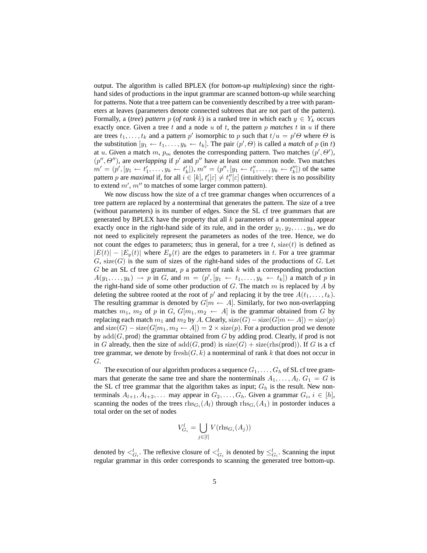output. The algorithm is called BPLEX (for *bottom-up multiplexing*) since the righthand sides of productions in the input grammar are scanned bottom-up while searching for patterns. Note that a tree pattern can be conveniently described by a tree with parameters at leaves (parameters denote connected subtrees that are not part of the pattern). Formally, a (*tree*) *pattern* p (*of rank k*) is a ranked tree in which each  $y \in Y_k$  occurs exactly once. Given a tree  $t$  and a node  $u$  of  $t$ , the pattern  $p$  matches  $t$  in  $u$  if there are trees  $t_1, \ldots, t_k$  and a pattern p' isomorphic to p such that  $t/u = p' \Theta$  where  $\Theta$  is the substitution  $[y_1 \leftarrow t_1, \ldots, y_k \leftarrow t_k]$ . The pair  $(p', \Theta)$  is called a *match* of p (in t) at u. Given a match m,  $p_m$  denotes the corresponding pattern. Two matches  $(p', \Theta'),$  $(p'', \Theta'')$ , are *overlapping* if p' and p'' have at least one common node. Two matches  $m' = (p', [y_1 \leftarrow t_1', \dots, y_k \leftarrow t_k'])$ ,  $m'' = (p'', [y_1 \leftarrow t_1'', \dots, y_k \leftarrow t_k''])$  of the same pattern p are *maximal* if, for all  $i \in [k]$ ,  $t'_i[\varepsilon] \neq t''_i[\varepsilon]$  (intuitively: there is no possibility to extend  $m'$ ,  $m''$  to matches of some larger common pattern).

We now discuss how the size of a cf tree grammar changes when occurrences of a tree pattern are replaced by a nonterminal that generates the pattern. The size of a tree (without parameters) is its number of edges. Since the SL cf tree grammars that are generated by BPLEX have the property that all  $k$  parameters of a nonterminal appear exactly once in the right-hand side of its rule, and in the order  $y_1, y_2, \ldots, y_k$ , we do not need to explicitely represent the parameters as nodes of the tree. Hence, we do not count the edges to parameters; thus in general, for a tree  $t$ , size( $t$ ) is defined as  $|E(t)| - |E_y(t)|$  where  $E_y(t)$  are the edges to parameters in t. For a tree grammar  $G$ , size $(G)$  is the sum of sizes of the right-hand sides of the productions of G. Let  $G$  be an SL cf tree grammar,  $p$  a pattern of rank  $k$  with a corresponding production  $A(y_1, \ldots, y_k) \to p$  in G, and  $m = (p', [y_1 \leftarrow t_1, \ldots, y_k \leftarrow t_k])$  a match of p in the right-hand side of some other production of  $G$ . The match  $m$  is replaced by  $A$  by deleting the subtree rooted at the root of  $p'$  and replacing it by the tree  $A(t_1, \ldots, t_k)$ . The resulting grammar is denoted by  $G[m \leftarrow A]$ . Similarly, for two non-overlapping matches  $m_1$ ,  $m_2$  of p in G,  $G[m_1, m_2 \leftarrow A]$  is the grammar obtained from G by replacing each match  $m_1$  and  $m_2$  by A. Clearly, size(G) – size(G[ $m \leftarrow A$ ]) = size(p) and size(G) – size(G[ $m_1, m_2 \leftarrow A$ ]) = 2 × size(p). For a production prod we denote by  $add(G, prod)$  the grammar obtained from G by adding prod. Clearly, if prod is not in G already, then the size of  $add(G, prod)$  is  $size(G) + size(rhs(pred))$ . If G is a cf tree grammar, we denote by  ${\rm fresh}(G, k)$  a nonterminal of rank k that does not occur in G.

The execution of our algorithm produces a sequence  $G_1, \ldots, G_h$  of SL cf tree grammars that generate the same tree and share the nonterminals  $A_1, \ldots, A_l$ .  $G_1 = G$  is the SL cf tree grammar that the algorithm takes as input;  $G_h$  is the result. New nonterminals  $A_{l+1}, A_{l+2}, \ldots$  may appear in  $G_2, \ldots, G_h$ . Given a grammar  $G_i$ ,  $i \in [h]$ , scanning the nodes of the trees  $\text{rhs}_{G_i}(A_i)$  through  $\text{rhs}_{G_i}(A_1)$  in postorder induces a total order on the set of nodes

$$
V_{G_i}^l = \bigcup_{j \in [l]} V(\text{rhs}_{G_i}(A_j))
$$

denoted by  $\lt_{G_i}^l$ . The reflexive closure of  $\lt_{G_i}^l$  is denoted by  $\leq_{G_i}^l$ . Scanning the input regular grammar in this order corresponds to scanning the generated tree bottom-up.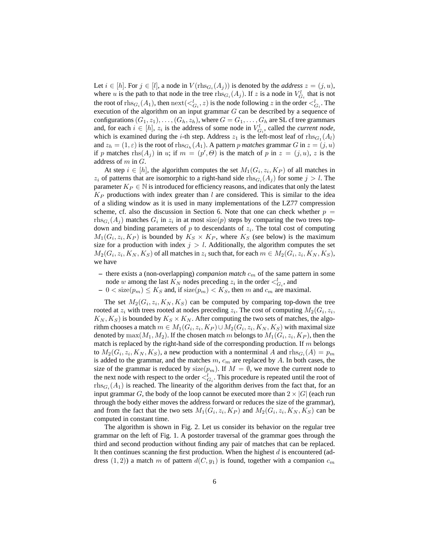Let  $i \in [h]$ . For  $j \in [l]$ , a node in  $V(\text{rhs}_{G_i}(A_j))$  is denoted by the *address*  $z = (j, u)$ , where u is the path to that node in the tree  $\text{rhs}_{G_i}(A_j)$ . If z is a node in  $V_{G_i}^l$  that is not the root of  $\text{rhs}_{G_i}(A_1)$ , then  $\text{next}(<_{G_i}^l, z)$  is the node following  $z$  in the order  $<_{G_i}^l$ . The execution of the algorithm on an input grammar  $G$  can be described by a sequence of configurations  $(G_1, z_1), \ldots, (G_h, z_h)$ , where  $G = G_1, \ldots, G_h$  are SL cf tree grammars and, for each  $i \in [h]$ ,  $z_i$  is the address of some node in  $V_{G_i}^l$ , called the *current node*, which is examined during the *i*-th step. Address  $z_1$  is the left-most leaf of  $\text{rhs}_{G_1}(A_l)$ and  $z_h = (1, \varepsilon)$  is the root of  $\text{rhs}_{G_h}(A_1)$ . A pattern p matches grammar G in  $z = (j, u)$ if p matches  $\text{rhs}(A_j)$  in u; if  $m = (p', \Theta)$  is the match of p in  $z = (j, u)$ , z is the address of  $m$  in  $G$ .

At step  $i \in [h]$ , the algorithm computes the set  $M_1(G_i, z_i, K_P)$  of all matches in  $z_i$  of patterns that are isomorphic to a right-hand side  $\text{rhs}_{G_i}(A_j)$  for some  $j > l$ . The parameter  $K_P \in \mathbb{N}$  is introduced for efficiency reasons, and indicates that only the latest  $K_P$  productions with index greater than  $l$  are considered. This is similar to the idea of a sliding window as it is used in many implementations of the LZ77 compression scheme, cf. also the discussion in Section 6. Note that one can check whether  $p =$  $\text{rhs}_{G_i}(A_j)$  matches  $G_i$  in  $z_i$  in at most size(p) steps by comparing the two trees topdown and binding parameters of  $p$  to descendants of  $z_i$ . The total cost of computing  $M_1(G_i, z_i, K_P)$  is bounded by  $K_S \times K_P$ , where  $K_S$  (see below) is the maximum size for a production with index  $j > l$ . Additionally, the algorithm computes the set  $M_2(G_i,z_i,K_N,K_S)$  of all matches in  $z_i$  such that, for each  $m\in M_2(G_i,z_i,K_N,K_S)$ , we have

- $-$  there exists a (non-overlapping) *companion match*  $c_m$  of the same pattern in some node w among the last  $K_N$  nodes preceding  $z_i$  in the order  $\langle C_{G_i}$ , and
- $-0 <$  size $(p_m) \le K_S$  and, if size $(p_m) < K_S$ , then m and  $c_m$  are maximal.

The set  $M_2(G_i, z_i, K_N, K_S)$  can be computed by comparing top-down the tree rooted at  $z_i$  with trees rooted at nodes preceding  $z_i$ . The cost of computing  $M_2(G_i, z_i)$ ,  $K_N, K_S$ ) is bounded by  $K_S \times K_N$ . After computing the two sets of matches, the algorithm chooses a match  $m \in M_1(G_i, z_i, K_P) \cup M_2(G_i, z_i, K_N, K_S)$  with maximal size denoted by  $\max(M_1,M_2).$  If the chosen match  $m$  belongs to  $M_1(G_i,z_i,K_P),$  then the match is replaced by the right-hand side of the corresponding production. If  $m$  belongs to  $M_2(G_i, z_i, K_N, K_S)$ , a new production with a nonterminal A and  $\text{rhs}_{G_i}(A) = p_m$ is added to the grammar, and the matches  $m$ ,  $c_m$  are replaced by  $A$ . In both cases, the size of the grammar is reduced by size( $p_m$ ). If  $M = \emptyset$ , we move the current node to the next node with respect to the order  $\lt_{G_i}^l$ . This procedure is repeated until the root of  $\text{rhs}_{G_i}(A_1)$  is reached. The linearity of the algorithm derives from the fact that, for an input grammar G, the body of the loop cannot be executed more than  $2 \times |G|$  (each run through the body either moves the address forward or reduces the size of the grammar), and from the fact that the two sets  $M_1(G_i, z_i, K_P)$  and  $M_2(G_i, z_i, K_N, K_S)$  can be computed in constant time.

The algorithm is shown in Fig. 2. Let us consider its behavior on the regular tree grammar on the left of Fig. 1. A postorder traversal of the grammar goes through the third and second production without finding any pair of matches that can be replaced. It then continues scanning the first production. When the highest  $d$  is encountered (address  $(1, 2)$ ) a match m of pattern  $d(C, y_1)$  is found, together with a companion  $c_m$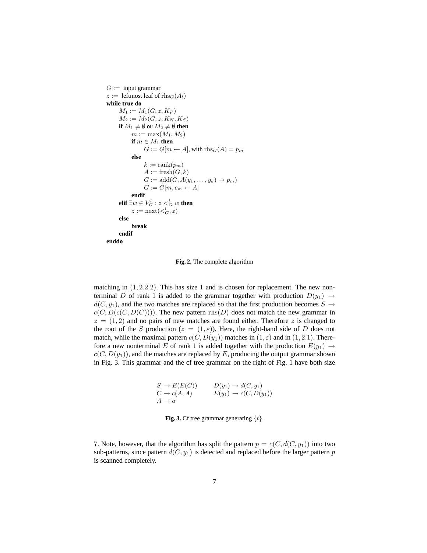```
G := \text{input grammar}z := leftmost leaf of rhs<sub>G</sub>(A_l)
while true do
      M_1 := M_1(G, z, K_P)M_2 := M_2(G, z, K_N, K_S)if M_1 \neq \emptyset or M_2 \neq \emptyset then
            m := \max(M_1, M_2)if m \in M_1 then
                   G := G[m \leftarrow A], with \text{rhs}_G(A) = p_melse
                  k := \operatorname{rank}(p_m)A := \text{fresh}(G, k)G := \text{add}(G, A(y_1, \ldots, y_k) \rightarrow p_m)G := G[m, c_m \leftarrow A]endif
      elif \exists w \in V_G^l: z <_G^l w then
             z := \operatorname{next}(\lt^l_G, z)else
            break
      endif
enddo
```
**Fig. 2.** The complete algorithm

matching in  $(1, 2.2.2)$ . This has size 1 and is chosen for replacement. The new nonterminal D of rank 1 is added to the grammar together with production  $D(y_1) \rightarrow$  $d(C, y_1)$ , and the two matches are replaced so that the first production becomes  $S \rightarrow$  $c(C, D(c(C, D(C))))$ . The new pattern rhs(D) does not match the new grammar in  $z = (1, 2)$  and no pairs of new matches are found either. Therefore z is changed to the root of the S production ( $z = (1, \varepsilon)$ ). Here, the right-hand side of D does not match, while the maximal pattern  $c(C, D(y_1))$  matches in  $(1, \varepsilon)$  and in  $(1, 2.1)$ . Therefore a new nonterminal E of rank 1 is added together with the production  $E(y_1) \rightarrow$  $c(C, D(y_1))$ , and the matches are replaced by E, producing the output grammar shown in Fig. 3. This grammar and the cf tree grammar on the right of Fig. 1 have both size

$$
S \to E(E(C)) \qquad D(y_1) \to d(C, y_1)
$$
  
\n
$$
C \to c(A, A) \qquad E(y_1) \to c(C, D(y_1))
$$
  
\n
$$
A \to a
$$

**Fig. 3.** Cf tree grammar generating  $\{t\}$ .

7. Note, however, that the algorithm has split the pattern  $p = c(C, d(C, y_1))$  into two sub-patterns, since pattern  $d(C, y_1)$  is detected and replaced before the larger pattern p is scanned completely.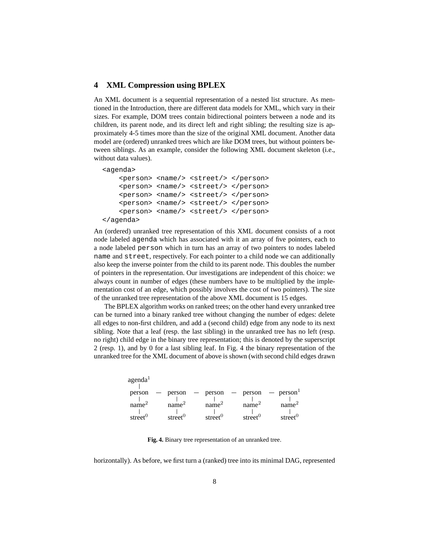# **4 XML Compression using BPLEX**

An XML document is a sequential representation of a nested list structure. As mentioned in the Introduction, there are different data models for XML, which vary in their sizes. For example, DOM trees contain bidirectional pointers between a node and its children, its parent node, and its direct left and right sibling; the resulting size is approximately 4-5 times more than the size of the original XML document. Another data model are (ordered) unranked trees which are like DOM trees, but without pointers between siblings. As an example, consider the following XML document skeleton (i.e., without data values).

```
<agenda>
```

```
<person> <name/> <street/> </person>
    <person> <name/> <street/> </person>
    <person> <name/> <street/> </person>
    <person> <name/> <street/> </person>
    <person> <name/> <street/> </person>
</agenda>
```
An (ordered) unranked tree representation of this XML document consists of a root node labeled agenda which has associated with it an array of five pointers, each to a node labeled person which in turn has an array of two pointers to nodes labeled name and street, respectively. For each pointer to a child node we can additionally also keep the inverse pointer from the child to its parent node. This doubles the number of pointers in the representation. Our investigations are independent of this choice: we always count in number of edges (these numbers have to be multiplied by the implementation cost of an edge, which possibly involves the cost of two pointers). The size of the unranked tree representation of the above XML document is 15 edges.

The BPLEX algorithm works on ranked trees; on the other hand every unranked tree can be turned into a binary ranked tree without changing the number of edges: delete all edges to non-first children, and add a (second child) edge from any node to its next sibling. Note that a leaf (resp. the last sibling) in the unranked tree has no left (resp. no right) child edge in the binary tree representation; this is denoted by the superscript 2 (resp. 1), and by 0 for a last sibling leaf. In Fig. 4 the binary representation of the unranked tree for the XML document of above is shown (with second child edges drawn

> street<sup>0</sup> agenda<sup>1</sup> person - person - person - person<sup>1</sup>  $\frac{1}{\text{name}^2}$ person  $\frac{1}{\text{name}^2}$   $\frac{1}{\text{name}^2}$   $\frac{1}{\text{name}^2}$   $\frac{1}{\text{name}^2}$ street<sup>0</sup> street<sup>0</sup> street<sup>0</sup>  $\frac{1}{\text{street}^0}$

**Fig. 4.** Binary tree representation of an unranked tree.

horizontally). As before, we first turn a (ranked) tree into its minimal DAG, represented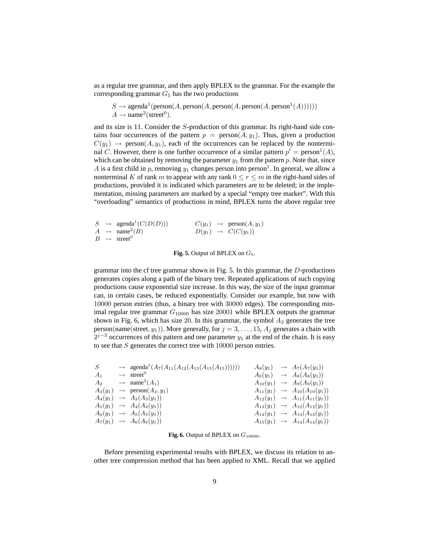as a regular tree grammar, and then apply BPLEX to the grammar. For the example the corresponding grammar  $G<sub>5</sub>$  has the two productions

$$
S \to \text{agenda}^1(\text{person}(A, \text{person}(A, \text{person}(A, \text{person}(A, \text{person}^1(A)))))))
$$
  

$$
A \to \text{name}^2(\text{street}^0).
$$

and its size is 11. Consider the S-production of this grammar. Its right-hand side contains four occurrences of the pattern  $p = \text{person}(A, y_1)$ . Thus, given a production  $C(y_1) \rightarrow \text{person}(A, y_1)$ , each of the occurrences can be replaced by the nonterminal C. However, there is one further occurrence of a similar pattern  $p' = \text{person}^1(A)$ , which can be obtained by removing the parameter  $y_1$  from the pattern p. Note that, since A is a first child in p, removing  $y_1$  changes person into person<sup>1</sup>. In general, we allow a nonterminal K of rank m to appear with any rank  $0 \le r \le m$  in the right-hand sides of productions, provided it is indicated which parameters are to be deleted; in the implementation, missing parameters are marked by a special "empty tree marker". With this "overloading" semantics of productions in mind, BPLEX turns the above regular tree

|  | $S \rightarrow \text{agenda}^1(C(D(D)))$ |                                | $C(y_1) \rightarrow \text{person}(A, y_1)$ |
|--|------------------------------------------|--------------------------------|--------------------------------------------|
|  | $A \rightarrow \text{name}^2(B)$         | $D(y_1) \rightarrow C(C(y_1))$ |                                            |
|  | $B \rightarrow$ street <sup>0</sup>      |                                |                                            |

#### **Fig. 5.** Output of BPLEX on  $G_5$ .

grammar into the cf tree grammar shown in Fig. 5. In this grammar, the D-productions generates copies along a path of the binary tree. Repeated applications of such copying productions cause exponential size increase. In this way, the size of the input grammar can, in certain cases, be reduced exponentially. Consider our example, but now with 10000 person entries (thus, a binary tree with 30000 edges). The corresponding minimal regular tree grammar  $G_{10000}$  has size 20001 while BPLEX outputs the grammar shown in Fig. 6, which has size 20. In this grammar, the symbol  $A_3$  generates the tree person(name(street,  $y_1$ )). More generally, for  $j = 3, \ldots, 15, A_j$  generates a chain with  $2^{j-3}$  occurrences of this pattern and one parameter  $y_1$  at the end of the chain. It is easy to see that  $S$  generates the correct tree with  $10000$  person entries.

| S              | $\rightarrow$ agenda <sup>1</sup> $(A_7(A_{11}(A_{12}(A_{13}(A_{15}(A_{15}))))))$ | $A_8(y_1)$ | $\rightarrow A_7(A_7(y_1))$                   |
|----------------|-----------------------------------------------------------------------------------|------------|-----------------------------------------------|
| A <sub>1</sub> | $\rightarrow$ street <sup>0</sup>                                                 |            | $A_9(y_1) \rightarrow A_8(A_8(y_1))$          |
| A <sub>2</sub> | $\rightarrow$ name <sup>2</sup> $(A_1)$                                           |            | $A_{10}(y_1) \rightarrow A_9(A_9(y_1))$       |
|                | $A_3(y_1) \rightarrow \text{person}(A_2, y_1)$                                    |            | $A_{11}(y_1) \rightarrow A_{10}(A_{10}(y_1))$ |
|                | $A_4(y_1) \rightarrow A_3(A_3(y_1))$                                              |            | $A_{12}(y_1) \rightarrow A_{11}(A_{11}(y_1))$ |
|                | $A_5(y_1) \rightarrow A_4(A_4(y_1))$                                              |            | $A_{13}(y_1) \rightarrow A_{12}(A_{12}(y_1))$ |
|                | $A_6(y_1) \rightarrow A_5(A_5(y_1))$                                              |            | $A_{14}(y_1) \rightarrow A_{13}(A_{13}(y_1))$ |
|                | $A_7(y_1) \rightarrow A_6(A_6(y_1))$                                              |            | $A_{15}(y_1) \rightarrow A_{14}(A_{14}(y_1))$ |
|                |                                                                                   |            |                                               |

#### **Fig. 6.** Output of BPLEX on  $G_{10000}$ .

Before presenting experimental results with BPLEX, we discuss its relation to another tree compression method that has been applied to XML. Recall that we applied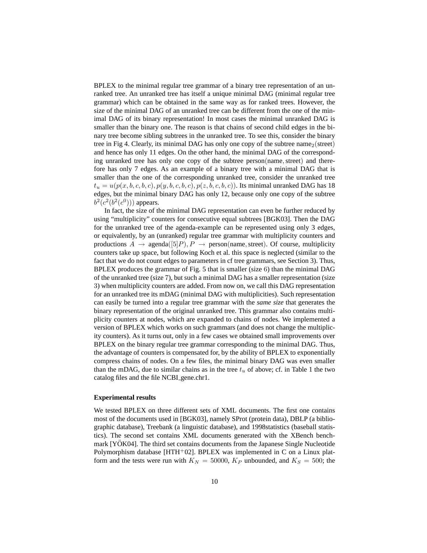BPLEX to the minimal regular tree grammar of a binary tree representation of an unranked tree. An unranked tree has itself a unique minimal DAG (minimal regular tree grammar) which can be obtained in the same way as for ranked trees. However, the size of the minimal DAG of an unranked tree can be different from the one of the minimal DAG of its binary representation! In most cases the minimal unranked DAG is smaller than the binary one. The reason is that chains of second child edges in the binary tree become sibling subtrees in the unranked tree. To see this, consider the binary tree in Fig 4. Clearly, its minimal DAG has only one copy of the subtree name<sub>2</sub>(street) and hence has only 11 edges. On the other hand, the minimal DAG of the corresponding unranked tree has only one copy of the subtree person(name, street) and therefore has only 7 edges. As an example of a binary tree with a minimal DAG that is smaller than the one of the corresponding unranked tree, consider the unranked tree  $t_u = u(p(x, b, c, b, c), p(y, b, c, b, c), p(z, b, c, b, c))$ . Its minimal unranked DAG has 18 edges, but the minimal binary DAG has only 12, because only one copy of the subtree  $b^2(c^2(b^2(c^0)))$  appears.

In fact, the size of the minimal DAG representation can even be further reduced by using "multiplicity" counters for consecutive equal subtrees [BGK03]. Then the DAG for the unranked tree of the agenda-example can be represented using only 3 edges, or equivalently, by an (unranked) regular tree grammar with multiplicity counters and productions  $A \rightarrow \text{agenda}([5]P), P \rightarrow \text{person}(\text{name}, \text{street})$ . Of course, multiplicity counters take up space, but following Koch et al. this space is neglected (similar to the fact that we do not count edges to parameters in cf tree grammars, see Section 3). Thus, BPLEX produces the grammar of Fig. 5 that is smaller (size 6) than the minimal DAG of the unranked tree (size 7), but such a minimal DAG has a smaller representation (size 3) when multiplicity counters are added. From now on, we call this DAG representation for an unranked tree its mDAG (minimal DAG with multiplicities). Such representation can easily be turned into a regular tree grammar with the *same size* that generates the binary representation of the original unranked tree. This grammar also contains multiplicity counters at nodes, which are expanded to chains of nodes. We implemented a version of BPLEX which works on such grammars (and does not change the multiplicity counters). As it turns out, only in a few cases we obtained small improvements over BPLEX on the binary regular tree grammar corresponding to the minimal DAG. Thus, the advantage of counters is compensated for, by the ability of BPLEX to exponentially compress chains of nodes. On a few files, the minimal binary DAG was even smaller than the mDAG, due to similar chains as in the tree  $t<sub>u</sub>$  of above; cf. in Table 1 the two catalog files and the file NCBI gene.chr1.

#### **Experimental results**

We tested BPLEX on three different sets of XML documents. The first one contains most of the documents used in [BGK03], namely SProt (protein data), DBLP (a bibliographic database), Treebank (a linguistic database), and 1998statistics (baseball statistics). The second set contains XML documents generated with the XBench benchmark [YOK04]. The third set contains documents from the Japanese Single Nucleotide Polymorphism database [HTH+02]. BPLEX was implemented in C on a Linux platform and the tests were run with  $K_N = 50000$ ,  $K_P$  unbounded, and  $K_S = 500$ ; the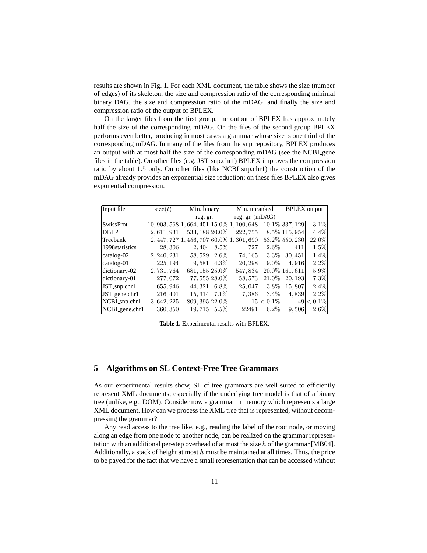results are shown in Fig. 1. For each XML document, the table shows the size (number of edges) of its skeleton, the size and compression ratio of the corresponding minimal binary DAG, the size and compression ratio of the mDAG, and finally the size and compression ratio of the output of BPLEX.

On the larger files from the first group, the output of BPLEX has approximately half the size of the corresponding mDAG. On the files of the second group BPLEX performs even better, producing in most cases a grammar whose size is one third of the corresponding mDAG. In many of the files from the snp repository, BPLEX produces an output with at most half the size of the corresponding mDAG (see the NCBI gene files in the table). On other files (e.g. JST\_snp.chr1) BPLEX improves the compression ratio by about 1.5 only. On other files (like NCBI snp.chr1) the construction of the mDAG already provides an exponential size reduction; on these files BPLEX also gives exponential compression.

| Input file         | size(t)                                  | Min. binary                   |         | Min. unranked   |              | <b>BPLEX</b> output |           |
|--------------------|------------------------------------------|-------------------------------|---------|-----------------|--------------|---------------------|-----------|
|                    |                                          | reg. gr.                      |         | reg. gr. (mDAG) |              |                     |           |
| <b>SwissProt</b>   | $10,903,568$  1,664,451 15.0\% 1,100,648 |                               |         |                 |              | 10.1\% 337, 129     | $3.1\%$   |
| <b>DBLP</b>        | 2,611,931                                | 533, 188 20.0%                |         | 222, 755        |              | $8.5\%$ 115, 954    | $4.4\%$   |
| Treebank           |                                          | $2,447,727 1,456,707 60.0\% $ |         | 1,301,690       |              | 53.2% 550, 230      | $22.0\%$  |
| 1998 statistics    | 28,306                                   | 2,404                         | 8.5%    | 727             | $2.6\%$      | 411                 | $1.5\%$   |
| $catalog-02$       | 2, 240, 231                              | 58,529                        | $2.6\%$ | 74, 165         | $3.3\%$      | 30, 451             | $1.4\%$   |
| catalog-01         | 225, 194                                 | 9.581                         | $4.3\%$ | 20, 298         | $9.0\%$      | 4.916               | $2.2\%$   |
| dictionary-02      | 2, 731, 764                              | 681, 155 25.0%                |         | 547,834         |              | 20.0% 161, 611      | $5.9\%$   |
| dictionary-01      | 277,072                                  | 77, 555 28.0%                 |         | 58, 573         | $21.0\%$     | 20, 193             | 7.3%      |
| $JST$ _snp.chr $1$ | 655, 946                                 | 44, 321                       | $6.8\%$ | 25,047          | $3.8\%$      | 15,807              | $2.4\%$   |
| JST_gene.chr1      | 216, 401                                 | 15, 314                       | $7.1\%$ | 7.386           | $3.4\%$      | 4,839               | $2.2\%$   |
| NCBI_snp.chr1      | 3,642,225                                | 809, 395 22.0%                |         |                 | $15 < 0.1\%$ | 49                  | $< 0.1\%$ |
| NCBI_gene.chr1     | 360, 350                                 | 19,715                        | $5.5\%$ | 22491           | $6.2\%$      | 9,506               | $2.6\%$   |

**Table 1.** Experimental results with BPLEX.

# **5 Algorithms on SL Context-Free Tree Grammars**

As our experimental results show, SL cf tree grammars are well suited to efficiently represent XML documents; especially if the underlying tree model is that of a binary tree (unlike, e.g., DOM). Consider now a grammar in memory which represents a large XML document. How can we process the XML tree that is represented, without decompressing the grammar?

Any read access to the tree like, e.g., reading the label of the root node, or moving along an edge from one node to another node, can be realized on the grammar representation with an additional per-step overhead of at most the size h of the grammar [MB04]. Additionally, a stack of height at most  $h$  must be maintained at all times. Thus, the price to be payed for the fact that we have a small representation that can be accessed without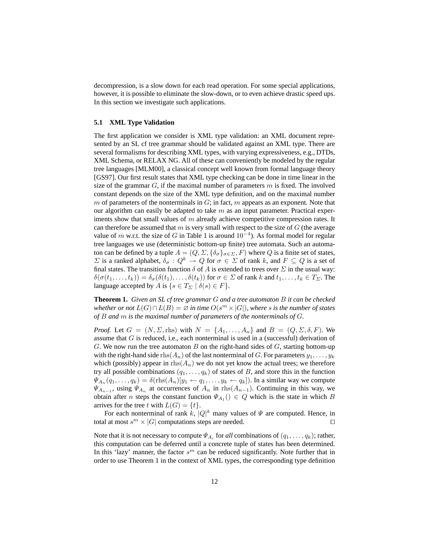decompression, is a slow down for each read operation. For some special applications, however, it is possible to eliminate the slow-down, or to even achieve drastic speed ups. In this section we investigate such applications.

#### **5.1 XML Type Validation**

The first application we consider is XML type validation: an XML document represented by an SL cf tree grammar should be validated against an XML type. There are several formalisms for describing XML types, with varying expressiveness, e.g., DTDs, XML Schema, or RELAX NG. All of these can conveniently be modeled by the regular tree languages [MLM00], a classical concept well known from formal language theory [GS97]. Our first result states that XML type checking can be done in time linear in the size of the grammar  $G$ , if the maximal number of parameters m is fixed. The involved constant depends on the size of the XML type definition, and on the maximal number m of parameters of the nonterminals in  $G$ ; in fact, m appears as an exponent. Note that our algorithm can easily be adapted to take  $m$  as an input parameter. Practical experiments show that small values of  $m$  already achieve competitive compression rates. It can therefore be assumed that m is very small with respect to the size of  $G$  (the average value of m w.r.t. the size of G in Table 1 is around  $10^{-4}$ ). As formal model for regular tree languages we use (deterministic bottom-up finite) tree automata. Such an automaton can be defined by a tuple  $A = (Q, \Sigma, {\delta_{\sigma}}_{\sigma \in \Sigma}, F)$  where Q is a finite set of states,  $\Sigma$  is a ranked alphabet,  $\delta_{\sigma}: Q^k \to Q$  for  $\sigma \in \Sigma$  of rank k, and  $F \subseteq Q$  is a set of final states. The transition function  $\delta$  of A is extended to trees over  $\Sigma$  in the usual way:  $\delta(\sigma(t_1,\ldots,t_k)) = \delta_{\sigma}(\delta(t_1),\ldots,\delta(t_k))$  for  $\sigma \in \Sigma$  of rank k and  $t_1,\ldots,t_k \in T_{\Sigma}$ . The language accepted by A is  $\{s \in T_{\Sigma} \mid \delta(s) \in F\}.$ 

**Theorem 1.** *Given an SL cf tree grammar* G *and a tree automaton* B *it can be checked*  $\emph{whether or not } L(G) \cap L(\overline{B}) = \varnothing \emph{ in time } O(s^m \times |G|), \emph{where } s \emph{ is the number of states }$ *of* B *and* m *is the maximal number of parameters of the nonterminals of* G*.*

*Proof.* Let  $G = (N, \Sigma, \text{rhs})$  with  $N = \{A_1, \ldots, A_n\}$  and  $B = (Q, \Sigma, \delta, F)$ . We assume that  $G$  is reduced, i.e., each nonterminal is used in a (successful) derivation of G. We now run the tree automaton B on the right-hand sides of  $G$ , starting bottom-up with the right-hand side  $\text{rhs}(A_n)$  of the last nonterminal of G. For parameters  $y_1, \ldots, y_k$ which (possibly) appear in  $\text{rhs}(A_n)$  we do not yet know the actual trees; we therefore try all possible combinations  $(q_1, \ldots, q_k)$  of states of B, and store this in the function  $\Psi_{A_n}(q_1,\ldots,q_k) = \delta(r\text{hs}(A_n)[y_1 \leftarrow q_1,\ldots,y_k \leftarrow q_k])$ . In a similar way we compute  $\Psi_{A_{n-1}}$ , using  $\Psi_{A_n}$  at occurrences of  $A_n$  in rhs $(A_{n-1})$ . Continuing in this way, we obtain after *n* steps the constant function  $\Psi_{A_1}$  ()  $\in Q$  which is the state in which B arrives for the tree t with  $L(G) = \{t\}.$ 

For each nonterminal of rank k,  $|Q|^k$  many values of  $\Psi$  are computed. Hence, in total at most  $s^m \times |G|$  computations steps are needed.

Note that it is not necessary to compute  $\Psi_{A_i}$  for *all* combinations of  $(q_1, \ldots, q_k)$ ; rather, this computation can be deferred until a concrete tuple of states has been determined. In this 'lazy' manner, the factor  $s^m$  can be reduced significantly. Note further that in order to use Theorem 1 in the context of XML types, the corresponding type definition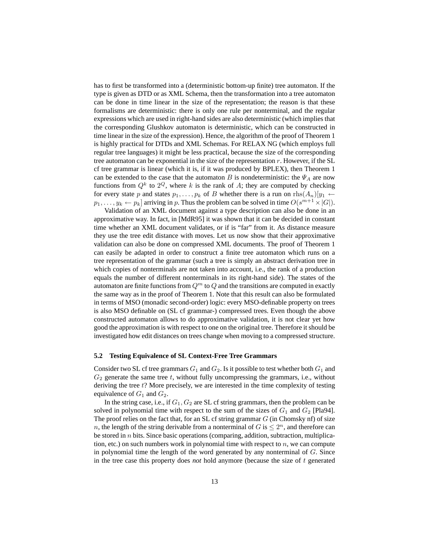has to first be transformed into a (deterministic bottom-up finite) tree automaton. If the type is given as DTD or as XML Schema, then the transformation into a tree automaton can be done in time linear in the size of the representation; the reason is that these formalisms are deterministic: there is only one rule per nonterminal, and the regular expressions which are used in right-hand sides are also deterministic (which implies that the corresponding Glushkov automaton is deterministic, which can be constructed in time linear in the size of the expression). Hence, the algorithm of the proof of Theorem 1 is highly practical for DTDs and XML Schemas. For RELAX NG (which employs full regular tree languages) it might be less practical, because the size of the corresponding tree automaton can be exponential in the size of the representation  $r$ . However, if the SL cf tree grammar is linear (which it is, if it was produced by BPLEX), then Theorem 1 can be extended to the case that the automaton B is nondeterministic: the  $\Psi_A$  are now functions from  $Q^k$  to  $2^Q$ , where k is the rank of A; they are computed by checking for every state p and states  $p_1, \ldots, p_k$  of B whether there is a run on  $\text{rhs}(A_n)[y_1 \leftarrow$  $p_1, \ldots, y_k \leftarrow p_k$  arriving in p. Thus the problem can be solved in time  $O(s^{m+1} \times |G|)$ .

Validation of an XML document against a type description can also be done in an approximative way. In fact, in [MdR95] it was shown that it can be decided in constant time whether an XML document validates, or if is "far" from it. As distance measure they use the tree edit distance with moves. Let us now show that their approximative validation can also be done on compressed XML documents. The proof of Theorem 1 can easily be adapted in order to construct a finite tree automaton which runs on a tree representation of the grammar (such a tree is simply an abstract derivation tree in which copies of nonterminals are not taken into account, i.e., the rank of a production equals the number of different nonterminals in its right-hand side). The states of the automaton are finite functions from  $Q<sup>m</sup>$  to Q and the transitions are computed in exactly the same way as in the proof of Theorem 1. Note that this result can also be formulated in terms of MSO (monadic second-order) logic: every MSO-definable property on trees is also MSO definable on (SL cf grammar-) compressed trees. Even though the above constructed automaton allows to do approximative validation, it is not clear yet how good the approximation is with respect to one on the original tree. Therefore it should be investigated how edit distances on trees change when moving to a compressed structure.

#### **5.2 Testing Equivalence of SL Context-Free Tree Grammars**

Consider two SL cf tree grammars  $G_1$  and  $G_2$ . Is it possible to test whether both  $G_1$  and  $G_2$  generate the same tree t, without fully uncompressing the grammars, i.e., without deriving the tree t? More precisely, we are interested in the time complexity of testing equivalence of  $G_1$  and  $G_2$ .

In the string case, i.e., if  $G_1, G_2$  are SL cf string grammars, then the problem can be solved in polynomial time with respect to the sum of the sizes of  $G_1$  and  $G_2$  [Pla94]. The proof relies on the fact that, for an SL cf string grammar  $G$  (in Chomsky nf) of size n, the length of the string derivable from a nonterminal of  $G$  is  $\leq 2^n$ , and therefore can be stored in  $n$  bits. Since basic operations (comparing, addition, subtraction, multiplication, etc.) on such numbers work in polynomial time with respect to  $n$ , we can compute in polynomial time the length of the word generated by any nonterminal of  $G$ . Since in the tree case this property does *not* hold anymore (because the size of t generated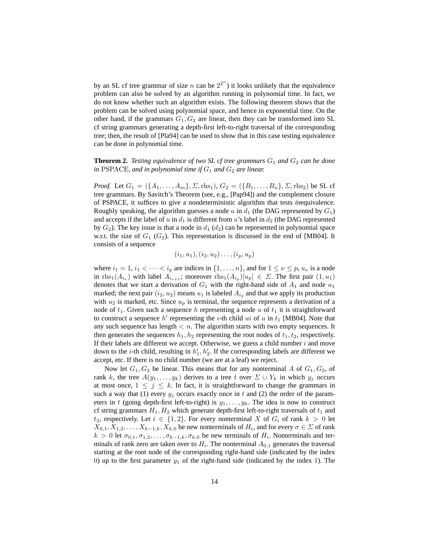by an SL cf tree grammar of size n can be  $2^{2^n}$ ) it looks unlikely that the equivalence problem can also be solved by an algorithm running in polynomial time. In fact, we do not know whether such an algorithm exists. The following theorem shows that the problem can be solved using polynomial space, and hence in exponential time. On the other hand, if the grammars  $G_1, G_2$  are linear, then they can be transformed into SL cf string grammars generating a depth-first left-to-right traversal of the corresponding tree; then, the result of [Pla94] can be used to show that in this case testing equivalence can be done in polynomial time.

### **Theorem 2.** *Testing equivalence of two SL cf tree grammars*  $G_1$  *and*  $G_2$  *can be done in* PSPACE, and in polynomial time if  $G_1$  and  $G_2$  are linear.

*Proof.* Let  $G_1 = (\{A_1, \ldots, A_m\}, \Sigma, \text{rhs}_1), G_2 = (\{B_1, \ldots, B_n\}, \Sigma, \text{rhs}_2)$  be SL cf tree grammars. By Savitch's Theorem (see, e.g., [Pap94]) and the complement closure of PSPACE, it suffices to give a nondeterministic algorithm that tests *in*equivalence. Roughly speaking, the algorithm guesses a node u in  $d_1$  (the DAG represented by  $G_1$ ) and accepts if the label of u in  $d_1$  is different from u's label in  $d_2$  (the DAG represented by  $G_2$ ). The key issue is that a node in  $d_1$  ( $d_2$ ) can be represented in polynomial space w.r.t. the size of  $G_1$  ( $G_2$ ). This representation is discussed in the end of [MB04]. It consists of a sequence

$$
(i_1, u_1), (i_2, u_2), \ldots, (i_p, u_p)
$$

where  $i_1 = 1$ ,  $i_1 < \cdots < i_p$  are indices in  $\{1, \ldots, n\}$ , and for  $1 \leq \nu \leq p$ ,  $u_{\nu}$  is a node in rhs<sub>1</sub>( $A_{i_{\nu}}$ ) with label  $A_{i_{\nu+1}}$ ; moreover rhs<sub>1</sub>( $A_{i_p}$ )[ $u_p$ ]  $\in \Sigma$ . The first pair (1,  $u_1$ ) denotes that we start a derivation of  $G_1$  with the right-hand side of  $A_1$  and node  $u_1$ marked; the next pair  $(i_2, u_2)$  means  $u_1$  is labeled  $A_{i_2}$  and that we apply its production with  $u_2$  is marked, etc. Since  $u_p$  is terminal, the sequence represents a derivation of a node of  $t_1$ . Given such a sequence h representing a node u of  $t_1$  it is straightforward to construct a sequence  $h'$  representing the *i*-th child  $ui$  of  $u$  in  $t_1$  [MB04]. Note that any such sequence has length  $\lt n$ . The algorithm starts with two empty sequences. It then generates the sequences  $h_1, h_2$  representing the root nodes of  $t_1, t_2$ , respectively. If their labels are different we accept. Otherwise, we guess a child number  $i$  and move down to the *i*-th child, resulting in  $h'_1$ ,  $h'_2$ . If the corresponding labels are different we accept, etc. If there is no child number (we are at a leaf) we reject.

Now let  $G_1, G_2$  be linear. This means that for any nonterminal A of  $G_1, G_2$ , of rank k, the tree  $A(y_1, \ldots, y_k)$  derives to a tree t over  $\Sigma \cup Y_k$  in which  $y_i$  occurs at most once,  $1 \leq j \leq k$ . In fact, it is straightforward to change the grammars in such a way that (1) every  $y_i$  occurs exactly once in t and (2) the order of the parameters in t (going depth-first left-to-right) is  $y_1, \ldots, y_k$ . The idea is now to construct cf string grammars  $H_1, H_2$  which generate depth-first left-to-right traversals of  $t_1$  and  $t_2$ , respectively. Let  $i \in \{1,2\}$ . For every nonterminal X of  $G_i$  of rank  $k > 0$  let  $X_{0,1}, X_{1,2}, \ldots, X_{k-1,k}, X_{k,0}$  be new nonterminals of  $H_i$ , and for every  $\sigma \in \Sigma$  of rank  $k > 0$  let  $\sigma_{0,1}, \sigma_{1,2}, \ldots, \sigma_{k-1,k}, \sigma_{k,0}$  be new terminals of  $H_i$ . Nonterminals and terminals of rank zero are taken over to  $H_i$ . The nonterminal  $A_{0,1}$  generates the traversal starting at the root node of the corresponding right-hand side (indicated by the index 0) up to the first parameter  $y_1$  of the right-hand side (indicated by the index 1). The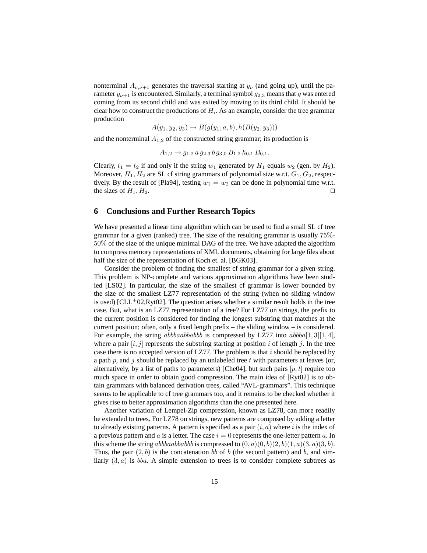nonterminal  $A_{\nu,\nu+1}$  generates the traversal starting at  $y_{\nu}$  (and going up), until the parameter  $y_{\nu+1}$  is encountered. Similarly, a terminal symbol  $g_{2,3}$  means that g was entered coming from its second child and was exited by moving to its third child. It should be clear how to construct the productions of  $H_i$ . As an example, consider the tree grammar production

$$
A(y_1, y_2, y_3) \rightarrow B(g(y_1, a, b), h(B(y_2, y_3)))
$$

and the nonterminal  $A_{1,2}$  of the constructed string grammar; its production is

$$
A_{1,2} \rightarrow g_{1,2} a g_{2,3} b g_{3,0} B_{1,2} h_{0,1} B_{0,1}.
$$

Clearly,  $t_1 = t_2$  if and only if the string  $w_1$  generated by  $H_1$  equals  $w_2$  (gen. by  $H_2$ ). Moreover,  $H_1, H_2$  are SL cf string grammars of polynomial size w.r.t.  $G_1, G_2$ , respectively. By the result of [Pla94], testing  $w_1 = w_2$  can be done in polynomial time w.r.t. the sizes of  $H_1, H_2$ .

### **6 Conclusions and Further Research Topics**

We have presented a linear time algorithm which can be used to find a small SL cf tree grammar for a given (ranked) tree. The size of the resulting grammar is usually 75%- 50% of the size of the unique minimal DAG of the tree. We have adapted the algorithm to compress memory representations of XML documents, obtaining for large files about half the size of the representation of Koch et. al. [BGK03].

Consider the problem of finding the smallest cf string grammar for a given string. This problem is NP-complete and various approximation algorithms have been studied [LS02]. In particular, the size of the smallest cf grammar is lower bounded by the size of the smallest LZ77 representation of the string (when no sliding window is used) [CLL<sup>+</sup>02,Ryt02]. The question arises whether a similar result holds in the tree case. But, what is an LZ77 representation of a tree? For LZ77 on strings, the prefix to the current position is considered for finding the longest substring that matches at the current position; often, only a fixed length prefix – the sliding window – is considered. For example, the string *abbbaabbabb* is compressed by LZ77 into  $abbba[1, 3][1, 4]$ , where a pair  $[i, j]$  represents the substring starting at position i of length j. In the tree case there is no accepted version of LZ77. The problem is that  $i$  should be replaced by a path  $p$ , and  $j$  should be replaced by an unlabeled tree  $t$  with parameters at leaves (or, alternatively, by a list of paths to parameters) [Che04], but such pairs  $[p, t]$  require too much space in order to obtain good compression. The main idea of [Ryt02] is to obtain grammars with balanced derivation trees, called "AVL-grammars". This technique seems to be applicable to cf tree grammars too, and it remains to be checked whether it gives rise to better approximation algorithms than the one presented here.

Another variation of Lempel-Zip compression, known as LZ78, can more readily be extended to trees. For LZ78 on strings, new patterns are composed by adding a letter to already existing patterns. A pattern is specified as a pair  $(i, a)$  where i is the index of a previous pattern and a is a letter. The case  $i = 0$  represents the one-letter pattern a. In this scheme the string abbbaabbabb is compressed to  $(0, a)(0, b)(2, b)(1, a)(3, a)(3, b)$ . Thus, the pair  $(2, b)$  is the concatenation bb of b (the second pattern) and b, and similarly  $(3, a)$  is *bba.* A simple extension to trees is to consider complete subtrees as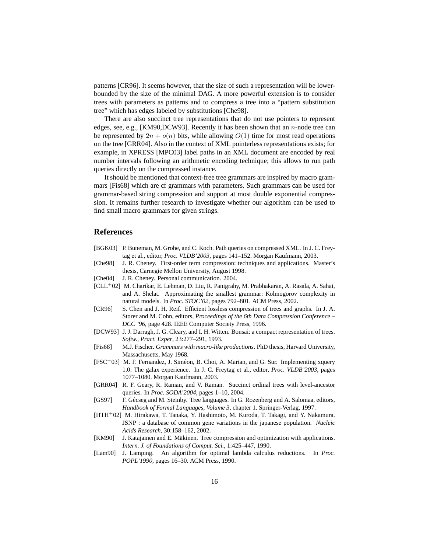patterns [CR96]. It seems however, that the size of such a representation will be lowerbounded by the size of the minimal DAG. A more powerful extension is to consider trees with parameters as patterns and to compress a tree into a "pattern substitution tree" which has edges labeled by substitutions [Che98].

There are also succinct tree representations that do not use pointers to represent edges, see, e.g., [KM90,DCW93]. Recently it has been shown that an  $n$ -node tree can be represented by  $2n + o(n)$  bits, while allowing  $O(1)$  time for most read operations on the tree [GRR04]. Also in the context of XML pointerless representations exists; for example, in XPRESS [MPC03] label paths in an XML document are encoded by real number intervals following an arithmetic encoding technique; this allows to run path queries directly on the compressed instance.

It should be mentioned that context-free tree grammars are inspired by macro grammars [Fis68] which are cf grammars with parameters. Such grammars can be used for grammar-based string compression and support at most double exponential compression. It remains further research to investigate whether our algorithm can be used to find small macro grammars for given strings.

### **References**

- [BGK03] P. Buneman, M. Grohe, and C. Koch. Path queries on compressed XML. In J. C. Freytag et al., editor, *Proc. VLDB'2003*, pages 141–152. Morgan Kaufmann, 2003.
- [Che98] J. R. Cheney. First-order term compression: techniques and applications. Master's thesis, Carnegie Mellon University, August 1998.
- [Che04] J. R. Cheney. Personal communication. 2004.
- [CLL<sup>+</sup>02] M. Charikar, E. Lehman, D. Liu, R. Panigrahy, M. Prabhakaran, A. Rasala, A. Sahai, and A. Shelat. Approximating the smallest grammar: Kolmogorov complexity in natural models. In *Proc. STOC'02*, pages 792–801. ACM Press, 2002.
- [CR96] S. Chen and J. H. Reif. Efficient lossless compression of trees and graphs. In J. A. Storer and M. Cohn, editors, *Proceedings of the 6th Data Compression Conference – DCC '96*, page 428. IEEE Computer Society Press, 1996.
- [DCW93] J. J. Darragh, J. G. Cleary, and I. H. Witten. Bonsai: a compact representation of trees. *Softw., Pract. Exper*, 23:277–291, 1993.
- [Fis68] M.J. Fischer. *Grammars with macro-like productions*. PhD thesis, Harvard University, Massachusetts, May 1968.
- [FSC<sup>+</sup>03] M. F. Fernandez, J. Siméon, B. Choi, A. Marian, and G. Sur. Implementing xquery 1.0: The galax experience. In J. C. Freytag et al., editor, *Proc. VLDB'2003*, pages 1077–1080. Morgan Kaufmann, 2003.
- [GRR04] R. F. Geary, R. Raman, and V. Raman. Succinct ordinal trees with level-ancestor queries. In *Proc. SODA'2004*, pages 1–10, 2004.
- [GS97] F. Gécseg and M. Steinby. Tree languages. In G. Rozenberg and A. Salomaa, editors, *Handbook of Formal Languages, Volume 3*, chapter 1. Springer-Verlag, 1997.
- [HTH<sup>+</sup>02] M. Hirakawa, T. Tanaka, Y. Hashimoto, M. Kuroda, T. Takagi, and Y. Nakamura. JSNP : a database of common gene variations in the japanese population. *Nucleic Acids Research*, 30:158–162, 2002.
- [KM90] J. Katajainen and E. Mäkinen. Tree compression and optimization with applications. *Intern. J. of Foundations of Comput. Sci.*, 1:425–447, 1990.
- [Lam90] J. Lamping. An algorithm for optimal lambda calculus reductions. In *Proc. POPL'1990*, pages 16–30. ACM Press, 1990.